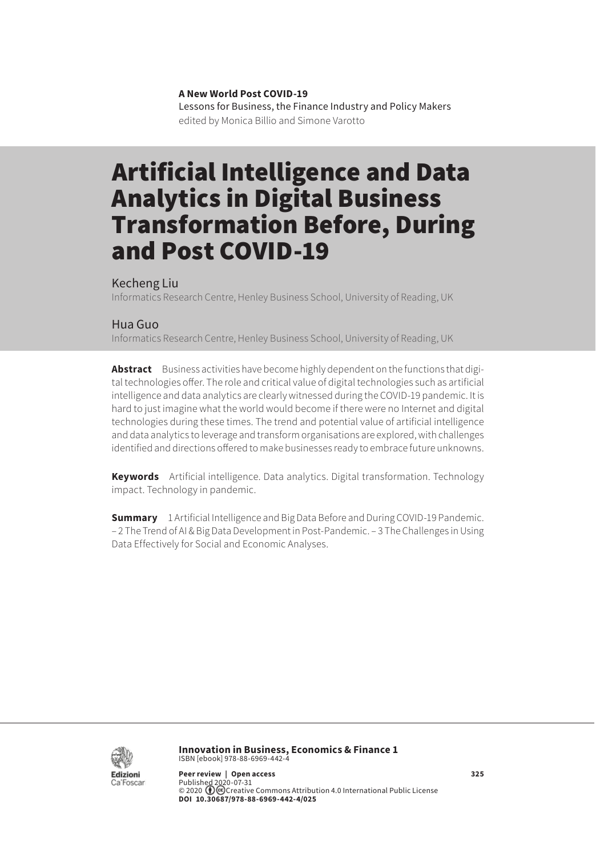**A New World Post COVID-19** Lessons for Business, the Finance Industry and Policy Makers edited by Monica Billio and Simone Varotto

# Artificial Intelligence and Data Analytics in Digital Business Transformation Before, During and Post COVID-19

#### Kecheng Liu

Informatics Research Centre, Henley Business School, University of Reading, UK

#### Hua Guo

Informatics Research Centre, Henley Business School, University of Reading, UK

Abstract Business activities have become highly dependent on the functions that digital technologies offer. The role and critical value of digital technologies such as artificial intelligence and data analytics are clearly witnessed during the COVID-19 pandemic. It is hard to just imagine what the world would become if there were no Internet and digital technologies during these times. The trend and potential value of artificial intelligence and data analytics to leverage and transform organisations are explored, with challenges identified and directions offered to make businesses ready to embrace future unknowns.

**Keywords** Artificial intelligence. Data analytics. Digital transformation. Technology impact. Technology in pandemic.

**Summary** [1 Artificial Intelligence and Big Data Before and During COVID-19 Pandemic.](#page-1-0) – [2 The Trend of AI & Big Data Development in Post-Pandemic.](#page-2-0) – [3 The Challenges in Using](#page-3-0)  [Data Effectively for Social and Economic Analyses](#page-3-0).



**Innovation in Business, Economics & Finance 1** ISBN [ebook] 978-88-6969-442-4

**Peer review | Open access 325**  Published 2020-07-31 © 2020 Creative [Commons Attribution 4.0 International Public License](https://creativecommons.org/licenses/by/4.0/) **DOI 10.30687/978-88-6969-442-4/025**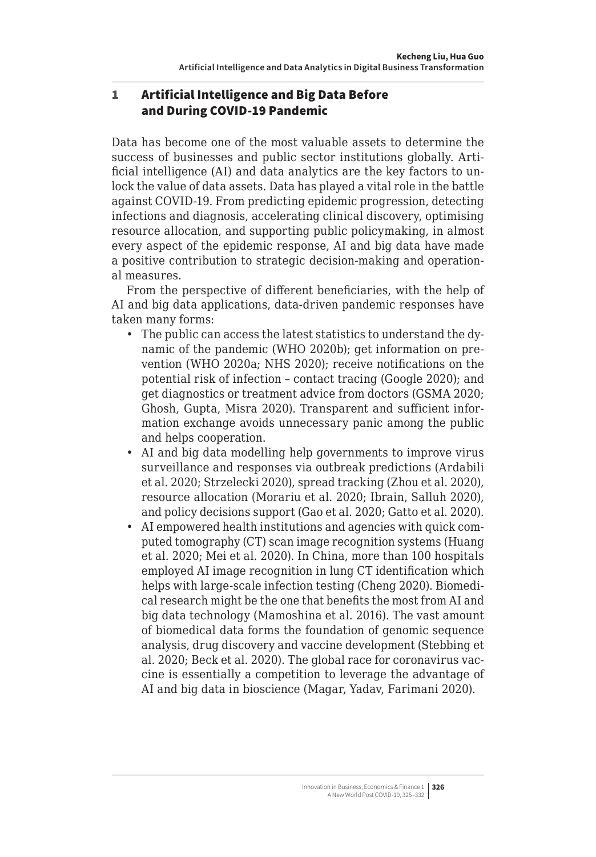## <span id="page-1-0"></span>1 Artificial Intelligence and Big Data Before and During COVID-19 Pandemic

Data has become one of the most valuable assets to determine the success of businesses and public sector institutions globally. Artificial intelligence (AI) and data analytics are the key factors to unlock the value of data assets. Data has played a vital role in the battle against COVID-19. From predicting epidemic progression, detecting infections and diagnosis, accelerating clinical discovery, optimising resource allocation, and supporting public policymaking, in almost every aspect of the epidemic response, AI and big data have made a positive contribution to strategic decision-making and operational measures.

From the perspective of different beneficiaries, with the help of AI and big data applications, data-driven pandemic responses have taken many forms:

- The public can access the latest statistics to understand the dynamic of the pandemic (WHO 2020b); get information on prevention (WHO 2020a; NHS 2020); receive notifications on the potential risk of infection – contact tracing (Google 2020); and get diagnostics or treatment advice from doctors (GSMA 2020; Ghosh, Gupta, Misra 2020). Transparent and sufficient information exchange avoids unnecessary panic among the public and helps cooperation.
- AI and big data modelling help governments to improve virus surveillance and responses via outbreak predictions (Ardabili et al. 2020; Strzelecki 2020), spread tracking (Zhou et al. 2020), resource allocation (Morariu et al. 2020; Ibrain, Salluh 2020), and policy decisions support (Gao et al. 2020; Gatto et al. 2020).
- AI empowered health institutions and agencies with quick computed tomography (CT) scan image recognition systems (Huang et al. 2020; Mei et al. 2020). In China, more than 100 hospitals employed AI image recognition in lung CT identification which helps with large-scale infection testing (Cheng 2020). Biomedical research might be the one that benefits the most from AI and big data technology (Mamoshina et al. 2016). The vast amount of biomedical data forms the foundation of genomic sequence analysis, drug discovery and vaccine development (Stebbing et al. 2020; Beck et al. 2020). The global race for coronavirus vaccine is essentially a competition to leverage the advantage of AI and big data in bioscience (Magar, Yadav, Farimani 2020).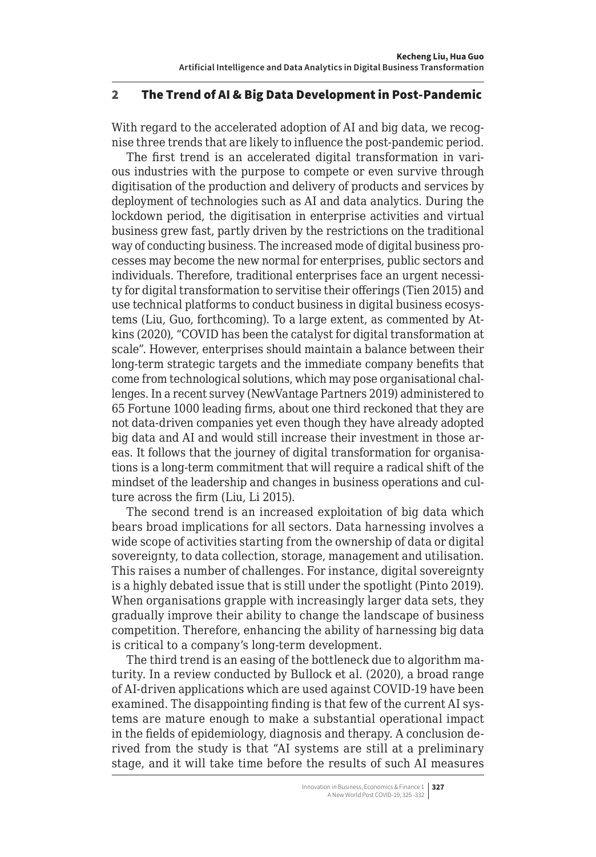### <span id="page-2-0"></span>2 The Trend of AI & Big Data Development in Post-Pandemic

With regard to the accelerated adoption of AI and big data, we recognise three trends that are likely to influence the post-pandemic period.

The first trend is an accelerated digital transformation in various industries with the purpose to compete or even survive through digitisation of the production and delivery of products and services by deployment of technologies such as AI and data analytics. During the lockdown period, the digitisation in enterprise activities and virtual business grew fast, partly driven by the restrictions on the traditional way of conducting business. The increased mode of digital business processes may become the new normal for enterprises, public sectors and individuals. Therefore, traditional enterprises face an urgent necessity for digital transformation to servitise their offerings (Tien 2015) and use technical platforms to conduct business in digital business ecosystems (Liu, Guo, forthcoming). To a large extent, as commented by Atkins (2020), "COVID has been the catalyst for digital transformation at scale". However, enterprises should maintain a balance between their long-term strategic targets and the immediate company benefits that come from technological solutions, which may pose organisational challenges. In a recent survey (NewVantage Partners 2019) administered to 65 Fortune 1000 leading firms, about one third reckoned that they are not data-driven companies yet even though they have already adopted big data and AI and would still increase their investment in those areas. It follows that the journey of digital transformation for organisations is a long-term commitment that will require a radical shift of the mindset of the leadership and changes in business operations and culture across the firm (Liu, Li 2015).

The second trend is an increased exploitation of big data which bears broad implications for all sectors. Data harnessing involves a wide scope of activities starting from the ownership of data or digital sovereignty, to data collection, storage, management and utilisation. This raises a number of challenges. For instance, digital sovereignty is a highly debated issue that is still under the spotlight (Pinto 2019). When organisations grapple with increasingly larger data sets, they gradually improve their ability to change the landscape of business competition. Therefore, enhancing the ability of harnessing big data is critical to a company's long-term development.

The third trend is an easing of the bottleneck due to algorithm maturity. In a review conducted by Bullock et al. (2020), a broad range of AI-driven applications which are used against COVID-19 have been examined. The disappointing finding is that few of the current AI systems are mature enough to make a substantial operational impact in the fields of epidemiology, diagnosis and therapy. A conclusion derived from the study is that "AI systems are still at a preliminary stage, and it will take time before the results of such AI measures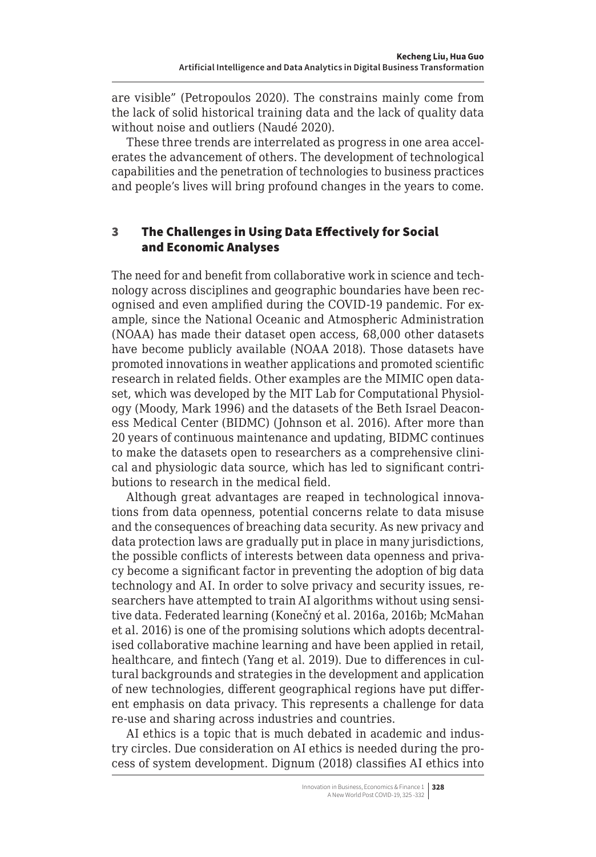<span id="page-3-0"></span>are visible" (Petropoulos 2020). The constrains mainly come from the lack of solid historical training data and the lack of quality data without noise and outliers (Naudé 2020).

These three trends are interrelated as progress in one area accelerates the advancement of others. The development of technological capabilities and the penetration of technologies to business practices and people's lives will bring profound changes in the years to come.

## 3 The Challenges in Using Data Effectively for Social and Economic Analyses

The need for and benefit from collaborative work in science and technology across disciplines and geographic boundaries have been recognised and even amplified during the COVID-19 pandemic. For example, since the National Oceanic and Atmospheric Administration (NOAA) has made their dataset open access, 68,000 other datasets have become publicly available (NOAA 2018). Those datasets have promoted innovations in weather applications and promoted scientific research in related fields. Other examples are the MIMIC open dataset, which was developed by the MIT Lab for Computational Physiology (Moody, Mark 1996) and the datasets of the Beth Israel Deaconess Medical Center (BIDMC) (Johnson et al. 2016). After more than 20 years of continuous maintenance and updating, BIDMC continues to make the datasets open to researchers as a comprehensive clinical and physiologic data source, which has led to significant contributions to research in the medical field.

Although great advantages are reaped in technological innovations from data openness, potential concerns relate to data misuse and the consequences of breaching data security. As new privacy and data protection laws are gradually put in place in many jurisdictions, the possible conflicts of interests between data openness and privacy become a significant factor in preventing the adoption of big data technology and AI. In order to solve privacy and security issues, researchers have attempted to train AI algorithms without using sensitive data. Federated learning (Konečný et al. 2016a, 2016b; McMahan et al. 2016) is one of the promising solutions which adopts decentralised collaborative machine learning and have been applied in retail, healthcare, and fintech (Yang et al. 2019). Due to differences in cultural backgrounds and strategies in the development and application of new technologies, different geographical regions have put different emphasis on data privacy. This represents a challenge for data re-use and sharing across industries and countries.

AI ethics is a topic that is much debated in academic and industry circles. Due consideration on AI ethics is needed during the process of system development. Dignum (2018) classifies AI ethics into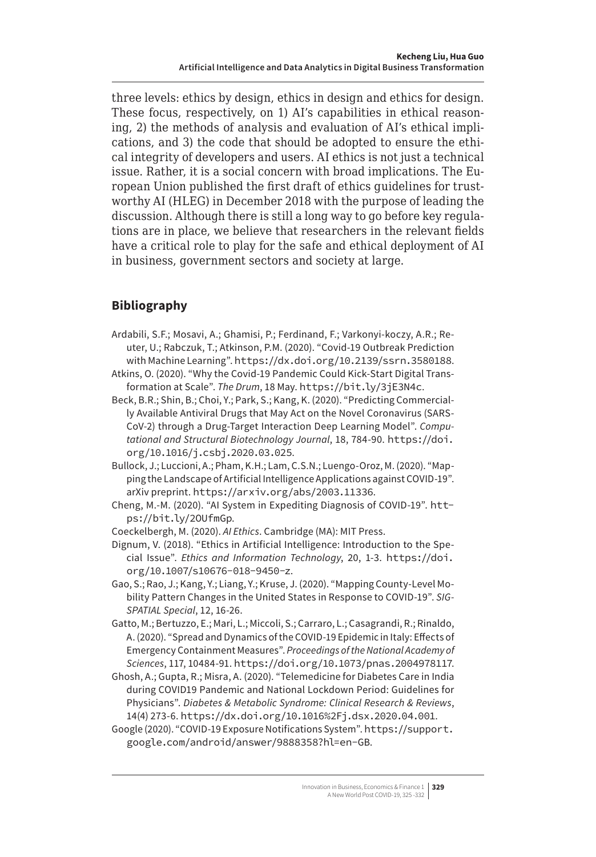three levels: ethics by design, ethics in design and ethics for design. These focus, respectively, on 1) AI's capabilities in ethical reasoning, 2) the methods of analysis and evaluation of AI's ethical implications, and 3) the code that should be adopted to ensure the ethical integrity of developers and users. AI ethics is not just a technical issue. Rather, it is a social concern with broad implications. The European Union published the first draft of ethics guidelines for trustworthy AI (HLEG) in December 2018 with the purpose of leading the discussion. Although there is still a long way to go before key regulations are in place, we believe that researchers in the relevant fields have a critical role to play for the safe and ethical deployment of AI in business, government sectors and society at large.

## **Bibliography**

- Ardabili, S.F.; Mosavi, A.; Ghamisi, P.; Ferdinand, F.; Varkonyi-koczy, A.R.; Reuter, U.; Rabczuk, T.; Atkinson, P.M. (2020). "Covid-19 Outbreak Prediction with Machine Learning". <https://dx.doi.org/10.2139/ssrn.3580188>.
- Atkins, O. (2020). "Why the Covid-19 Pandemic Could Kick-Start Digital Transformation at Scale". *The Drum*, 18 May. https://bit.ly/3jE3N4c.
- Beck, B.R.; Shin, B.; Choi, Y.; Park, S.; Kang, K. (2020). "Predicting Commercially Available Antiviral Drugs that May Act on the Novel Coronavirus (SARS-CoV-2) through a Drug-Target Interaction Deep Learning Model". *Computational and Structural Biotechnology Journal*, 18, 784-90. [https://doi.](https://doi.org/10.1016/j.csbj.2020.03.025) [org/10.1016/j.csbj.2020.03.025](https://doi.org/10.1016/j.csbj.2020.03.025).
- Bullock, J.; Luccioni, A.; Pham, K.H.; Lam, C.S.N.; Luengo-Oroz, M. (2020). "Mapping the Landscape of Artificial Intelligence Applications against COVID-19". arXiv preprint. <https://arxiv.org/abs/2003.11336>.
- Cheng, M.-M. (2020). "AI System in Expediting Diagnosis of COVID-19". https://bit.ly/2OUfmGp.
- Coeckelbergh, M. (2020). *AI Ethics*. Cambridge (MA): MIT Press.
- Dignum, V. (2018). "Ethics in Artificial Intelligence: Introduction to the Special Issue". *Ethics and Information Technology*, 20, 1-3. [https://doi.](https://doi.org/10.1007/s10676-018-9450-z) [org/10.1007/s10676-018-9450-z](https://doi.org/10.1007/s10676-018-9450-z).
- Gao, S.; Rao, J.; Kang, Y.; Liang, Y.; Kruse, J. (2020). "Mapping County-Level Mobility Pattern Changes in the United States in Response to COVID-19". *SIG-SPATIAL Special*, 12, 16-26.
- Gatto, M.; Bertuzzo, E.; Mari, L.; Miccoli, S.; Carraro, L.; Casagrandi, R.; Rinaldo, A. (2020). "Spread and Dynamics of the COVID-19 Epidemic in Italy: Effects of Emergency Containment Measures". *Proceedings of the National Academy of Sciences*, 117, 10484-91. <https://doi.org/10.1073/pnas.2004978117>.
- Ghosh, A.; Gupta, R.; Misra, A. (2020). "Telemedicine for Diabetes Care in India during COVID19 Pandemic and National Lockdown Period: Guidelines for Physicians". *Diabetes & Metabolic Syndrome: Clinical Research & Reviews*, 14(4) 273-6. <https://dx.doi.org/10.1016%2Fj.dsx.2020.04.001>.
- Google (2020). "COVID-19 Exposure Notifications System". [https://support.](https://support.google.com/android/answer/9888358?hl=en-GB) [google.com/android/answer/9888358?hl=en-GB](https://support.google.com/android/answer/9888358?hl=en-GB).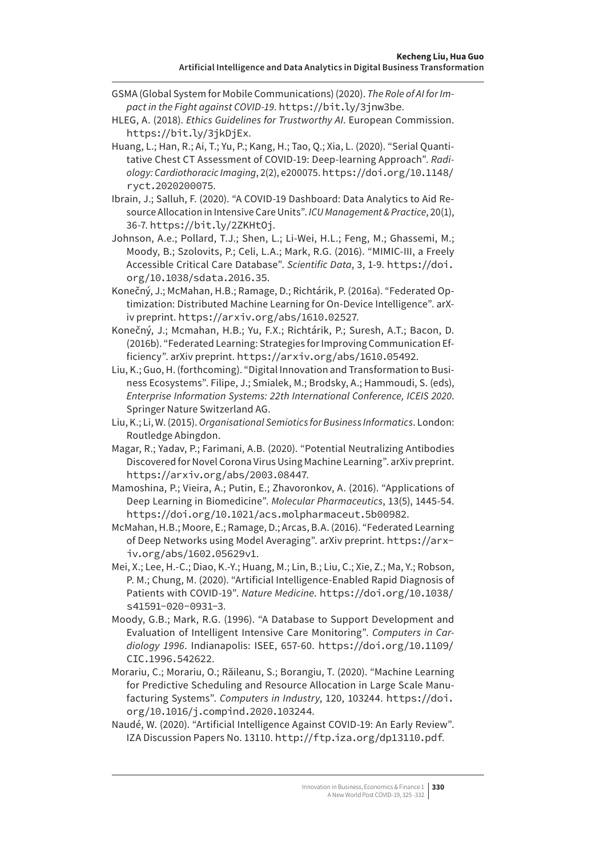- GSMA (Global System for Mobile Communications) (2020). *The Role of AI for Impact in the Fight against COVID-19*. https://bit.ly/3jnw3be.
- HLEG, A. (2018). *Ethics Guidelines for Trustworthy AI*. European Commission. https://bit.ly/3jkDjEx.
- Huang, L.; Han, R.; Ai, T.; Yu, P.; Kang, H.; Tao, Q.; Xia, L. (2020). "Serial Quantitative Chest CT Assessment of COVID-19: Deep-learning Approach". *Radiology: Cardiothoracic Imaging*, 2(2), e200075. [https://doi.org/10.1148/](https://doi.org/10.1148/ryct.2020200075) [ryct.2020200075](https://doi.org/10.1148/ryct.2020200075).
- Ibrain, J.; Salluh, F. (2020). "A COVID-19 Dashboard: Data Analytics to Aid Resource Allocation in Intensive Care Units". *ICU Management & Practice*, 20(1), 36-7. https://bit.ly/2ZKHtOj.
- Johnson, A.e.; Pollard, T.J.; Shen, L.; Li-Wei, H.L.; Feng, M.; Ghassemi, M.; Moody, B.; Szolovits, P.; Celi, L.A.; Mark, R.G. (2016). "MIMIC-III, a Freely Accessible Critical Care Database". *Scientific Data*, 3, 1-9. [https://doi.](https://doi.org/10.1038/sdata.2016.35) [org/10.1038/sdata.2016.35](https://doi.org/10.1038/sdata.2016.35).
- Konečný, J.; McMahan, H.B.; Ramage, D.; Richtárik, P. (2016a). "Federated Optimization: Distributed Machine Learning for On-Device Intelligence". arXiv preprint. <https://arxiv.org/abs/1610.02527>.
- Konečný, J.; Mcmahan, H.B.; Yu, F.X.; Richtárik, P.; Suresh, A.T.; Bacon, D. (2016b). "Federated Learning: Strategies for Improving Communication Efficiency". arXiv preprint. <https://arxiv.org/abs/1610.05492>.
- Liu, K.; Guo, H. (forthcoming). "Digital Innovation and Transformation to Business Ecosystems". Filipe, J.; Smialek, M.; Brodsky, A.; Hammoudi, S. (eds), *Enterprise Information Systems: 22th International Conference, ICEIS 2020*. Springer Nature Switzerland AG.
- Liu, K.; Li, W. (2015). *Organisational Semiotics for Business Informatics*. London: Routledge Abingdon.
- Magar, R.; Yadav, P.; Farimani, A.B. (2020). "Potential Neutralizing Antibodies Discovered for Novel Corona Virus Using Machine Learning". arXiv preprint. <https://arxiv.org/abs/2003.08447>.
- Mamoshina, P.; Vieira, A.; Putin, E.; Zhavoronkov, A. (2016). "Applications of Deep Learning in Biomedicine". *Molecular Pharmaceutics*, 13(5), 1445-54. <https://doi.org/10.1021/acs.molpharmaceut.5b00982>.
- McMahan, H.B.; Moore, E.; Ramage, D.; Arcas, B.A. (2016). "Federated Learning of Deep Networks using Model Averaging". arXiv preprint. [https://arx](https://arxiv.org/abs/1602.05629v1)[iv.org/abs/1602.05629v1](https://arxiv.org/abs/1602.05629v1).
- Mei, X.; Lee, H.-C.; Diao, K.-Y.; Huang, M.; Lin, B.; Liu, C.; Xie, Z.; Ma, Y.; Robson, P. M.; Chung, M. (2020). "Artificial Intelligence-Enabled Rapid Diagnosis of Patients with COVID-19". *Nature Medicine*. [https://doi.org/10.1038/](https://doi.org/10.1038/s41591-020-0931-3) [s41591-020-0931-3](https://doi.org/10.1038/s41591-020-0931-3).
- Moody, G.B.; Mark, R.G. (1996). "A Database to Support Development and Evaluation of Intelligent Intensive Care Monitoring". *Computers in Cardiology 1996*. Indianapolis: ISEE, 657-60. [https://doi.org/10.1109/](https://doi.org/10.1109/CIC.1996.542622) [CIC.1996.542622](https://doi.org/10.1109/CIC.1996.542622).
- Morariu, C.; Morariu, O.; Răileanu, S.; Borangiu, T. (2020). "Machine Learning for Predictive Scheduling and Resource Allocation in Large Scale Manufacturing Systems". *Computers in Industry*, 120, 103244. [https://doi.](https://doi.org/10.1016/j.compind.2020.103244) [org/10.1016/j.compind.2020.103244](https://doi.org/10.1016/j.compind.2020.103244).
- Naudé, W. (2020). "Artificial Intelligence Against COVID-19: An Early Review". IZA Discussion Papers No. 13110. <http://ftp.iza.org/dp13110.pdf>.